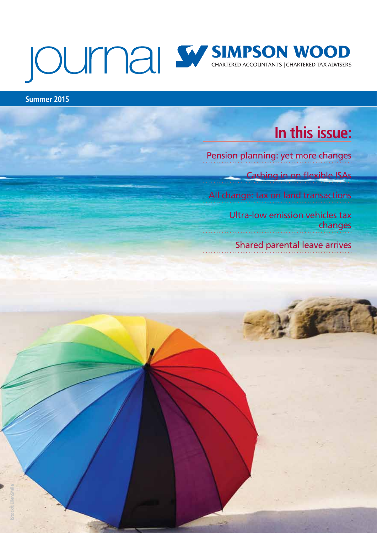# **SIMPSON WOOD**

**Summer 2015**

This is for general information only and intended to any specific person. You are recommended to any specific professional advice before taking or refraining from taking any action on the basis of the contents of this publication. The newsletter represents

### **In this issue:**

[Pension planning: yet more changes](#page-1-0)

[Cashing in on flexible ISAs](#page-3-0)

[All change: tax on land transactions](#page-4-0)

[Ultra-low emission vehicles tax](#page-5-0)  changes

[Shared parental leave arrives](#page-6-0)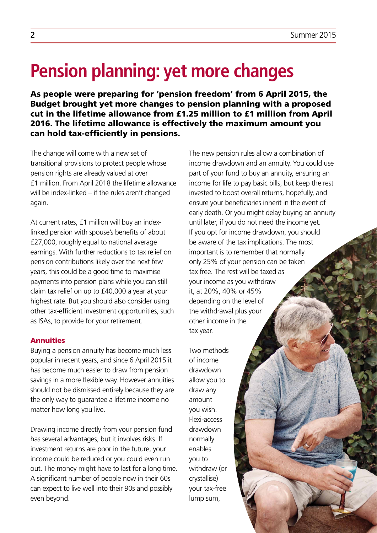# <span id="page-1-0"></span>**Pension planning: yet more changes**

As people were preparing for 'pension freedom' from 6 April 2015, the Budget brought yet more changes to pension planning with a proposed cut in the lifetime allowance from £1.25 million to £1 million from April 2016. The lifetime allowance is effectively the maximum amount you can hold tax-efficiently in pensions.

The change will come with a new set of transitional provisions to protect people whose pension rights are already valued at over £1 million. From April 2018 the lifetime allowance will be index-linked – if the rules aren't changed again.

At current rates, £1 million will buy an indexlinked pension with spouse's benefits of about £27,000, roughly equal to national average earnings. With further reductions to tax relief on pension contributions likely over the next few years, this could be a good time to maximise payments into pension plans while you can still claim tax relief on up to £40,000 a year at your highest rate. But you should also consider using other tax-efficient investment opportunities, such as ISAs, to provide for your retirement.

### **Annuities**

Buying a pension annuity has become much less popular in recent years, and since 6 April 2015 it has become much easier to draw from pension savings in a more flexible way. However annuities should not be dismissed entirely because they are the only way to guarantee a lifetime income no matter how long you live.

Drawing income directly from your pension fund has several advantages, but it involves risks. If investment returns are poor in the future, your income could be reduced or you could even run out. The money might have to last for a long time. A significant number of people now in their 60s can expect to live well into their 90s and possibly even beyond.

The new pension rules allow a combination of income drawdown and an annuity. You could use part of your fund to buy an annuity, ensuring an income for life to pay basic bills, but keep the rest invested to boost overall returns, hopefully, and ensure your beneficiaries inherit in the event of early death. Or you might delay buying an annuity until later, if you do not need the income yet. If you opt for income drawdown, you should be aware of the tax implications. The most important is to remember that normally only 25% of your pension can be taken tax free. The rest will be taxed as your income as you withdraw it, at 20%, 40% or 45% depending on the level of the withdrawal plus your other income in the tax year.

Two methods of income drawdown allow you to draw any amount you wish. Flexi-access drawdown normally enables you to withdraw (or crystallise) your tax-free lump sum,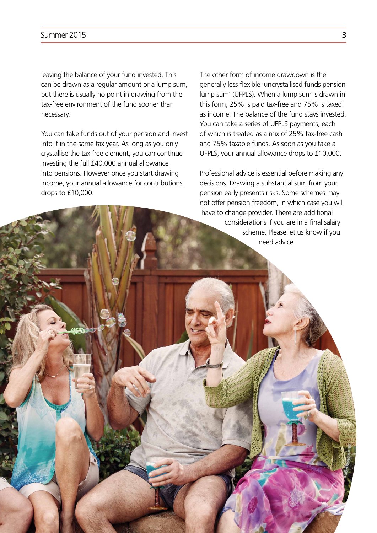leaving the balance of your fund invested. This can be drawn as a regular amount or a lump sum, but there is usually no point in drawing from the tax-free environment of the fund sooner than necessary.

You can take funds out of your pension and invest into it in the same tax year. As long as you only crystallise the tax free element, you can continue investing the full £40,000 annual allowance into pensions. However once you start drawing income, your annual allowance for contributions drops to £10,000.

The other form of income drawdown is the generally less flexible 'uncrystallised funds pension lump sum' (UFPLS). When a lump sum is drawn in this form, 25% is paid tax-free and 75% is taxed as income. The balance of the fund stays invested. You can take a series of UFPLS payments, each of which is treated as a mix of 25% tax-free cash and 75% taxable funds. As soon as you take a UFPLS, your annual allowance drops to £10,000.

Professional advice is essential before making any decisions. Drawing a substantial sum from your pension early presents risks. Some schemes may not offer pension freedom, in which case you will have to change provider. There are additional considerations if you are in a final salary scheme. Please let us know if you need advice.

**tock©lisegagne**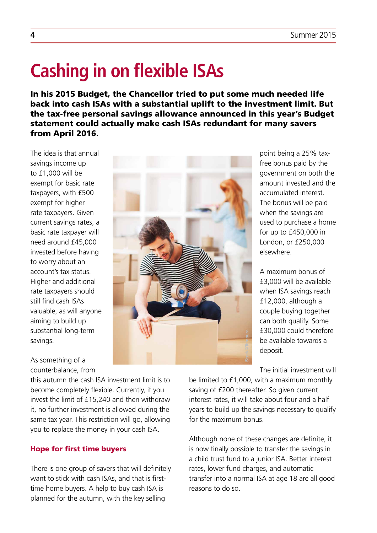# <span id="page-3-0"></span>**Cashing in on flexible ISAs**

In his 2015 Budget, the Chancellor tried to put some much needed life back into cash ISAs with a substantial uplift to the investment limit. But the tax-free personal savings allowance announced in this year's Budget statement could actually make cash ISAs redundant for many savers from April 2016.

The idea is that annual savings income up to £1,000 will be exempt for basic rate taxpayers, with £500 exempt for higher rate taxpayers. Given current savings rates, a basic rate taxpayer will need around £45,000 invested before having to worry about an account's tax status. Higher and additional rate taxpayers should still find cash ISAs valuable, as will anyone aiming to build up substantial long-term savings.

### As something of a counterbalance, from

this autumn the cash ISA investment limit is to become completely flexible. Currently, if you invest the limit of £15,240 and then withdraw it, no further investment is allowed during the same tax year. This restriction will go, allowing you to replace the money in your cash ISA.

### Hope for first time buyers

There is one group of savers that will definitely want to stick with cash ISAs, and that is firsttime home buyers. A help to buy cash ISA is planned for the autumn, with the key selling



point being a 25% taxfree bonus paid by the government on both the amount invested and the accumulated interest. The bonus will be paid when the savings are used to purchase a home for up to £450,000 in London, or £250,000 elsewhere.

A maximum bonus of £3,000 will be available when ISA savings reach £12,000, although a couple buying together can both qualify. Some £30,000 could therefore be available towards a deposit.

The initial investment will

be limited to £1,000, with a maximum monthly saving of £200 thereafter. So given current interest rates, it will take about four and a half years to build up the savings necessary to qualify for the maximum bonus.

Although none of these changes are definite, it is now finally possible to transfer the savings in a child trust fund to a junior ISA. Better interest rates, lower fund charges, and automatic transfer into a normal ISA at age 18 are all good reasons to do so.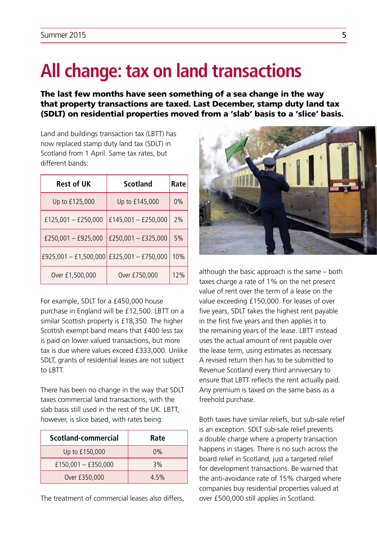# <span id="page-4-0"></span>**All change: tax on land transactions**

The last few months have seen something of a sea change in the way that property transactions are taxed. Last December, stamp duty land tax (SDLT) on residential properties moved from a 'slab' basis to a 'slice' basis.

Land and buildings transaction tax (LBTT) has now replaced stamp duty land tax (SDLT) in Scotland from 1 April. Same tax rates, but different bands:

| <b>Rest of UK</b>                         | Scotland            | Rate |
|-------------------------------------------|---------------------|------|
| Up to £125,000                            | Up to £145,000      | 0%   |
| £125,001 $-$ £250,000                     | £145,001 - £250,000 | 2%   |
| £250,001 - £925,000                       | £250,001 - £325,000 | 5%   |
| £925,001 - £1,500,000 £325,001 - £750,000 |                     | 10%  |
| Over £1,500,000                           | Over £750,000       | 12%  |

For example, SDLT for a £450,000 house purchase in England will be £12,500. LBTT on a similar Scottish property is £18,350. The higher Scottish exempt band means that £400 less tax is paid on lower valued transactions, but more tax is due where values exceed £333,000. Unlike SDLT, grants of residential leases are not subject to LBTT.

There has been no change in the way that SDLT taxes commercial land transactions, with the slab basis still used in the rest of the UK. LBTT, however, is slice based, with rates being:

| Scotland-commercial | Rate |
|---------------------|------|
| Up to £150,000      | 0%   |
| £150,001 - £350,000 | 3%   |
| Over £350,000       | 4.5% |

The treatment of commercial leases also differs,



although the basic approach is the same – both taxes charge a rate of 1% on the net present value of rent over the term of a lease on the value exceeding £150,000. For leases of over five years, SDLT takes the highest rent payable in the first five years and then applies it to the remaining years of the lease. LBTT instead uses the actual amount of rent payable over the lease term, using estimates as necessary. A revised return then has to be submitted to Revenue Scotland every third anniversary to ensure that LBTT reflects the rent actually paid. Any premium is taxed on the same basis as a freehold purchase.

Both taxes have similar reliefs, but sub-sale relief is an exception. SDLT sub-sale relief prevents a double charge where a property transaction happens in stages. There is no such across the board relief in Scotland, just a targeted relief for development transactions. Be warned that the anti-avoidance rate of 15% charged where companies buy residential properties valued at over £500,000 still applies in Scotland.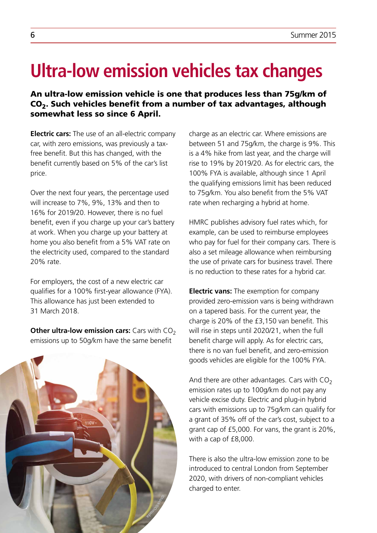# <span id="page-5-0"></span>**Ultra-low emission vehicles tax changes**

An ultra-low emission vehicle is one that produces less than 75g/km of CO2. Such vehicles benefit from a number of tax advantages, although somewhat less so since 6 April.

**Electric cars:** The use of an all-electric company car, with zero emissions, was previously a taxfree benefit. But this has changed, with the benefit currently based on 5% of the car's list price.

Over the next four years, the percentage used will increase to 7%, 9%, 13% and then to 16% for 2019/20. However, there is no fuel benefit, even if you charge up your car's battery at work. When you charge up your battery at home you also benefit from a 5% VAT rate on the electricity used, compared to the standard 20% rate.

For employers, the cost of a new electric car qualifies for a 100% first-year allowance (FYA). This allowance has just been extended to 31 March 2018.

**Other ultra-low emission cars:** Cars with CO<sub>2</sub> emissions up to 50g/km have the same benefit



charge as an electric car. Where emissions are between 51 and 75g/km, the charge is 9%. This is a 4% hike from last year, and the charge will rise to 19% by 2019/20. As for electric cars, the 100% FYA is available, although since 1 April the qualifying emissions limit has been reduced to 75g/km. You also benefit from the 5% VAT rate when recharging a hybrid at home.

HMRC publishes advisory fuel rates which, for example, can be used to reimburse employees who pay for fuel for their company cars. There is also a set mileage allowance when reimbursing the use of private cars for business travel. There is no reduction to these rates for a hybrid car.

**Electric vans:** The exemption for company provided zero-emission vans is being withdrawn on a tapered basis. For the current year, the charge is 20% of the £3,150 van benefit. This will rise in steps until 2020/21, when the full benefit charge will apply. As for electric cars, there is no van fuel benefit, and zero-emission goods vehicles are eligible for the 100% FYA.

And there are other advantages. Cars with  $CO<sub>2</sub>$ emission rates up to 100g/km do not pay any vehicle excise duty. Electric and plug-in hybrid cars with emissions up to 75g/km can qualify for a grant of 35% off of the car's cost, subject to a grant cap of £5,000. For vans, the grant is 20%, with a cap of £8,000.

There is also the ultra-low emission zone to be introduced to central London from September 2020, with drivers of non-compliant vehicles charged to enter.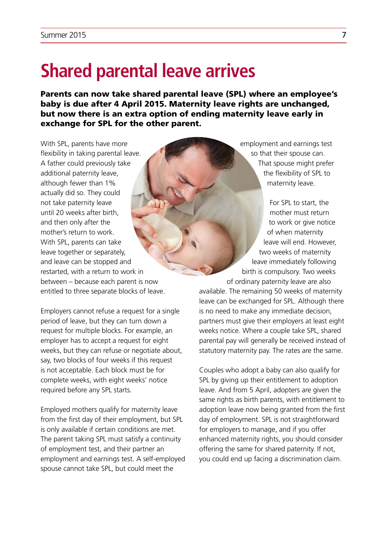### <span id="page-6-0"></span>**Shared parental leave arrives**

Parents can now take shared parental leave (SPL) where an employee's baby is due after 4 April 2015. Maternity leave rights are unchanged, but now there is an extra option of ending maternity leave early in exchange for SPL for the other parent.

With SPL, parents have more flexibility in taking parental leave. A father could previously take additional paternity leave, although fewer than 1% actually did so. They could not take paternity leave until 20 weeks after birth, and then only after the mother's return to work. With SPL, parents can take leave together or separately, and leave can be stopped and restarted, with a return to work in between – because each parent is now entitled to three separate blocks of leave.

Employers cannot refuse a request for a single period of leave, but they can turn down a request for multiple blocks. For example, an employer has to accept a request for eight weeks, but they can refuse or negotiate about, say, two blocks of four weeks if this request is not acceptable. Each block must be for complete weeks, with eight weeks' notice required before any SPL starts.

Employed mothers qualify for maternity leave from the first day of their employment, but SPL is only available if certain conditions are met. The parent taking SPL must satisfy a continuity of employment test, and their partner an employment and earnings test. A self-employed spouse cannot take SPL, but could meet the

employment and earnings test so that their spouse can. That spouse might prefer the flexibility of SPL to maternity leave.

For SPL to start, the mother must return to work or give notice of when maternity leave will end. However, two weeks of maternity leave immediately following birth is compulsory. Two weeks of ordinary paternity leave are also available. The remaining 50 weeks of maternity leave can be exchanged for SPL. Although there **k©kupicoo**

is no need to make any immediate decision, partners must give their employers at least eight weeks notice. Where a couple take SPL, shared parental pay will generally be received instead of statutory maternity pay. The rates are the same.

Couples who adopt a baby can also qualify for SPL by giving up their entitlement to adoption leave. And from 5 April, adopters are given the same rights as birth parents, with entitlement to adoption leave now being granted from the first day of employment. SPL is not straightforward for employers to manage, and if you offer enhanced maternity rights, you should consider offering the same for shared paternity. If not, you could end up facing a discrimination claim.